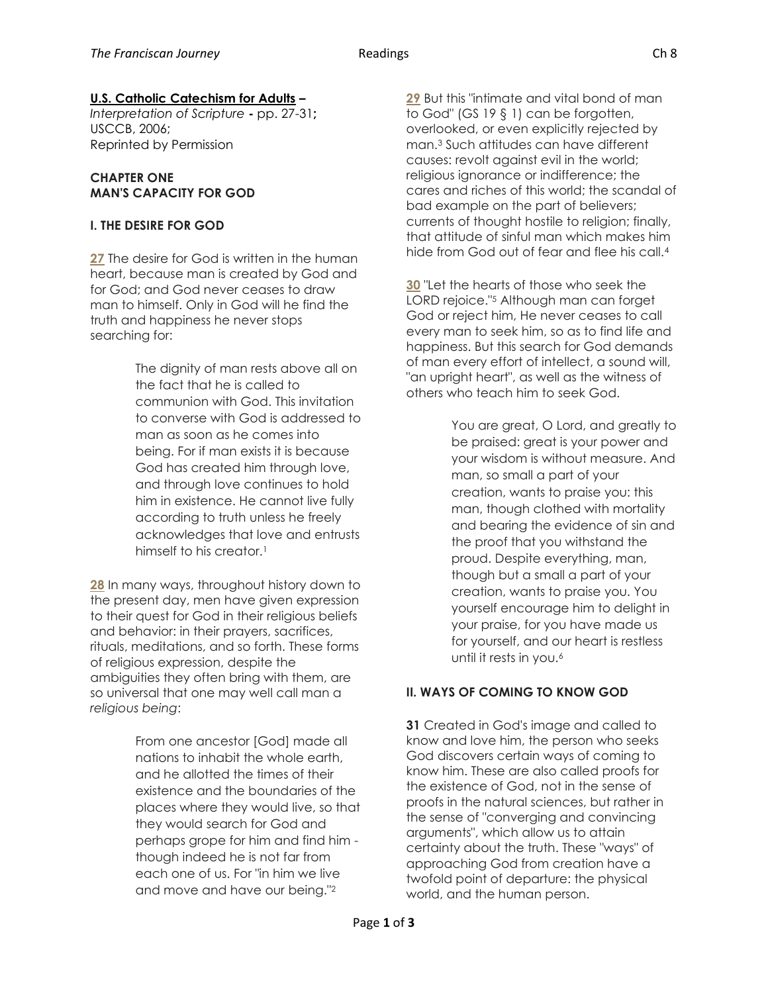# **U.S. Catholic Catechism for Adults –**

*Interpretation of Scripture* **-** pp. 27-31**;**  USCCB, 2006; Reprinted by Permission

# **CHAPTER ONE MAN'S CAPACITY FOR GOD**

### **I. THE DESIRE FOR GOD**

[27](javascript:openWindow() The desire for God is written in the human heart, because man is created by God and for God; and God never ceases to draw man to himself. Only in God will he find the truth and happiness he never stops searching for:

> The dignity of man rests above all on the fact that he is called to communion with God. This invitation to converse with God is addressed to man as soon as he comes into being. For if man exists it is because God has created him through love, and through love continues to hold him in existence. He cannot live fully according to truth unless he freely acknowledges that love and entrusts himself to his creator.<sup>1</sup>

**[28](javascript:openWindow()** In many ways, throughout history down to the present day, men have given expression to their quest for God in their religious beliefs and behavior: in their prayers, sacrifices, rituals, meditations, and so forth. These forms of religious expression, despite the ambiguities they often bring with them, are so universal that one may well call man a *religious being*:

> From one ancestor [God] made all nations to inhabit the whole earth, and he allotted the times of their existence and the boundaries of the places where they would live, so that they would search for God and perhaps grope for him and find him though indeed he is not far from each one of us. For "in him we live and move and have our being."<sup>2</sup>

**[29](javascript:openWindow()** But this "intimate and vital bond of man to God" (GS 19 § 1) can be forgotten, overlooked, or even explicitly rejected by man.<sup>3</sup> Such attitudes can have different causes: revolt against evil in the world; religious ignorance or indifference; the cares and riches of this world; the scandal of bad example on the part of believers; currents of thought hostile to religion; finally, that attitude of sinful man which makes him hide from God out of fear and flee his call.<sup>4</sup>

**[30](javascript:openWindow()** "Let the hearts of those who seek the LORD rejoice."<sup>5</sup> Although man can forget God or reject him, He never ceases to call every man to seek him, so as to find life and happiness. But this search for God demands of man every effort of intellect, a sound will, "an upright heart", as well as the witness of others who teach him to seek God.

> You are great, O Lord, and greatly to be praised: great is your power and your wisdom is without measure. And man, so small a part of your creation, wants to praise you: this man, though clothed with mortality and bearing the evidence of sin and the proof that you withstand the proud. Despite everything, man, though but a small a part of your creation, wants to praise you. You yourself encourage him to delight in your praise, for you have made us for yourself, and our heart is restless until it rests in you.<sup>6</sup>

# **II. WAYS OF COMING TO KNOW GOD**

**31** Created in God's image and called to know and love him, the person who seeks God discovers certain ways of coming to know him. These are also called proofs for the existence of God, not in the sense of proofs in the natural sciences, but rather in the sense of "converging and convincing arguments", which allow us to attain certainty about the truth. These "ways" of approaching God from creation have a twofold point of departure: the physical world, and the human person.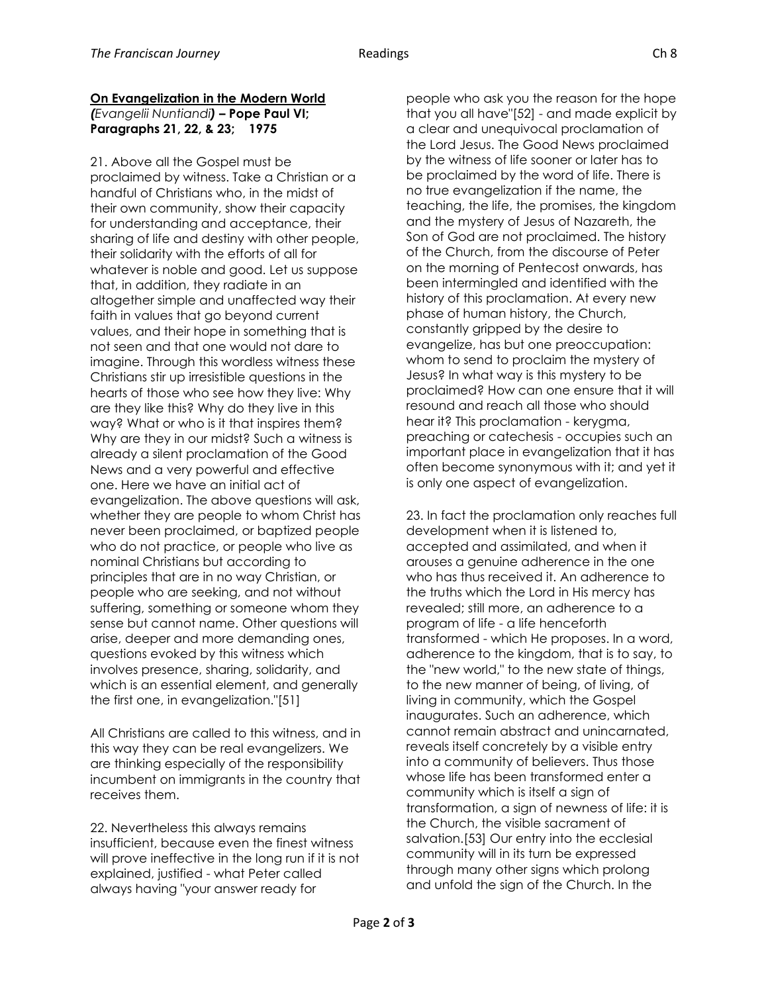# **On Evangelization in the Modern World**

*(Evangelii Nuntiandi) –* **Pope Paul VI; Paragraphs 21, 22, & 23; 1975**

21. Above all the Gospel must be proclaimed by witness. Take a Christian or a handful of Christians who, in the midst of their own community, show their capacity for understanding and acceptance, their sharing of life and destiny with other people, their solidarity with the efforts of all for whatever is noble and good. Let us suppose that, in addition, they radiate in an altogether simple and unaffected way their faith in values that go beyond current values, and their hope in something that is not seen and that one would not dare to imagine. Through this wordless witness these Christians stir up irresistible questions in the hearts of those who see how they live: Why are they like this? Why do they live in this way? What or who is it that inspires them? Why are they in our midst? Such a witness is already a silent proclamation of the Good News and a very powerful and effective one. Here we have an initial act of evangelization. The above questions will ask, whether they are people to whom Christ has never been proclaimed, or baptized people who do not practice, or people who live as nominal Christians but according to principles that are in no way Christian, or people who are seeking, and not without suffering, something or someone whom they sense but cannot name. Other questions will arise, deeper and more demanding ones, questions evoked by this witness which involves presence, sharing, solidarity, and which is an essential element, and generally the first one, in evangelization."[51]

All Christians are called to this witness, and in this way they can be real evangelizers. We are thinking especially of the responsibility incumbent on immigrants in the country that receives them.

22. Nevertheless this always remains insufficient, because even the finest witness will prove ineffective in the long run if it is not explained, justified - what Peter called always having "your answer ready for

people who ask you the reason for the hope that you all have"[52] - and made explicit by a clear and unequivocal proclamation of the Lord Jesus. The Good News proclaimed by the witness of life sooner or later has to be proclaimed by the word of life. There is no true evangelization if the name, the teaching, the life, the promises, the kingdom and the mystery of Jesus of Nazareth, the Son of God are not proclaimed. The history of the Church, from the discourse of Peter on the morning of Pentecost onwards, has been intermingled and identified with the history of this proclamation. At every new phase of human history, the Church, constantly gripped by the desire to evangelize, has but one preoccupation: whom to send to proclaim the mystery of Jesus? In what way is this mystery to be proclaimed? How can one ensure that it will resound and reach all those who should hear it? This proclamation - kerygma, preaching or catechesis - occupies such an important place in evangelization that it has often become synonymous with it; and yet it is only one aspect of evangelization.

23. In fact the proclamation only reaches full development when it is listened to, accepted and assimilated, and when it arouses a genuine adherence in the one who has thus received it. An adherence to the truths which the Lord in His mercy has revealed; still more, an adherence to a program of life - a life henceforth transformed - which He proposes. In a word, adherence to the kingdom, that is to say, to the "new world," to the new state of things, to the new manner of being, of living, of living in community, which the Gospel inaugurates. Such an adherence, which cannot remain abstract and unincarnated, reveals itself concretely by a visible entry into a community of believers. Thus those whose life has been transformed enter a community which is itself a sign of transformation, a sign of newness of life: it is the Church, the visible sacrament of salvation.[53] Our entry into the ecclesial community will in its turn be expressed through many other signs which prolong and unfold the sign of the Church. In the